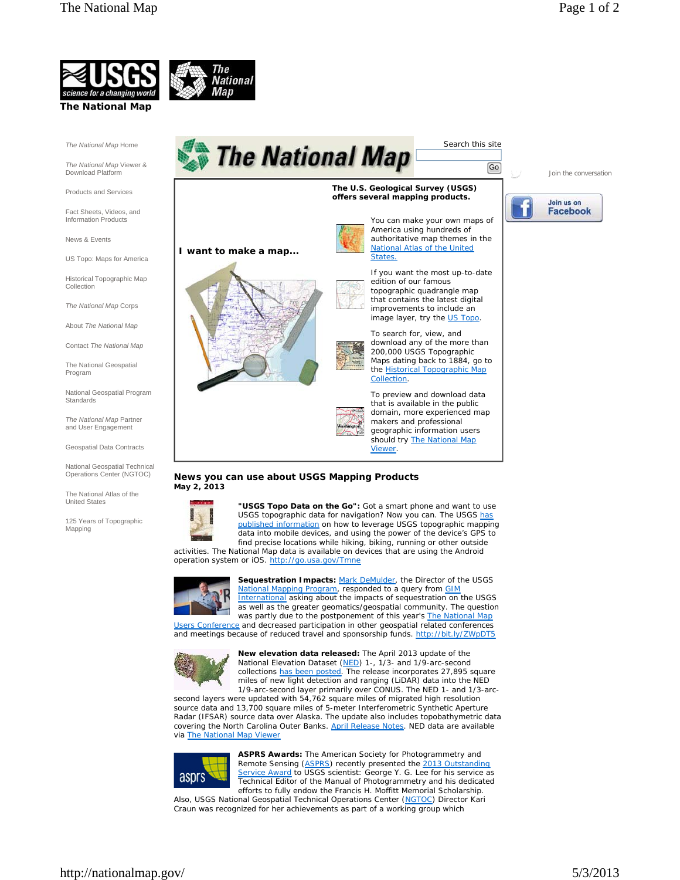Join the conversation





*The National Map* Home

*The National Map* Viewer & Download Platform

Products and Services

Fact Sheets, Videos, and Information Products

News & Events

US Topo: Maps for America

Historical Topographic Map Collection

*The National Map* Corps

About *The National Map*

Contact *The National Map*

The National Geospatial Program

National Geospatial Program **Standards** 

*The National Map* Partner and User Engagement

Geospatial Data Contracts

National Geospatial Technical Operations Center (NGTOC)

The National Atlas of the United States

125 Years of Topographic Mapping



## **The U.S. Geological Survey (USGS) offers several mapping products.**

**I want to make a map...**



You can make your own maps of America using hundreds of authoritative map themes in the National Atlas of the United States.

edition of our famous topographic quadrangle map that contains the latest digital improvements to include an image layer, try the US Topo.

download any of the more than 200,000 USGS Topographic Maps dating back to 1884, go to the Historical Topographic Map Collection.

that is available in the public domain, more experienced map makers and professional geographic information users should try *The National Map* **Viewer** 

## **News you can use about USGS Mapping Products May 2, 2013**



**"USGS Topo Data on the Go":** Got a smart phone and want to use USGS topographic data for navigation? Now you can. The USGS has published information on how to leverage USGS topographic mapping data into mobile devices, and using the power of the device's GPS to find precise locations while hiking, biking, running or other outside activities. *The National Map* data is available on devices that are using the Android

operation system or iOS. http://go.usa.gov/Tmne



**Sequestration Impacts:** Mark DeMulder, the Director of the USGS National Mapping Program, responded to a query from **GIM** International asking about the impacts of sequestration on the USGS as well as the greater geomatics/geospatial community. The question was partly due to the postponement of this year's *The National Map* Users Conference and decreased participation in other geospatial related conferences

and meetings because of reduced travel and sponsorship funds. http://bit.ly/ZWpDT5



**New elevation data released:** The April 2013 update of the National Elevation Dataset (NED) 1-, 1/3- and 1/9-arc-second collections has been posted. The release incorporates 27,895 square miles of new light detection and ranging (LiDAR) data into the NED 1/9-arc-second layer primarily over CONUS. The NED 1- and 1/3-arc-

second layers were updated with 54,762 square miles of migrated high resolution source data and 13,700 square miles of 5-meter Interferometric Synthetic Aperture Radar (IFSAR) source data over Alaska. The update also includes topobathymetric data covering the North Carolina Outer Banks. April Release Notes. NED data are available via *The National Map* Viewer



**ASPRS Awards:** The American Society for Photogrammetry and Remote Sensing (ASPRS) recently presented the 2013 Outstanding Service Award to USGS scientist: George Y. G. Lee for his service as Technical Editor of the *Manual of Photogrammetry* and his dedicated efforts to fully endow the Francis H. Moffitt Memorial Scholarship.

Also, USGS National Geospatial Technical Operations Center (NGTOC) Director Kari Craun was recognized for her achievements as part of a working group which



Go

Search this site

If you want the most up-to-date

To search for, view, and

To preview and download data